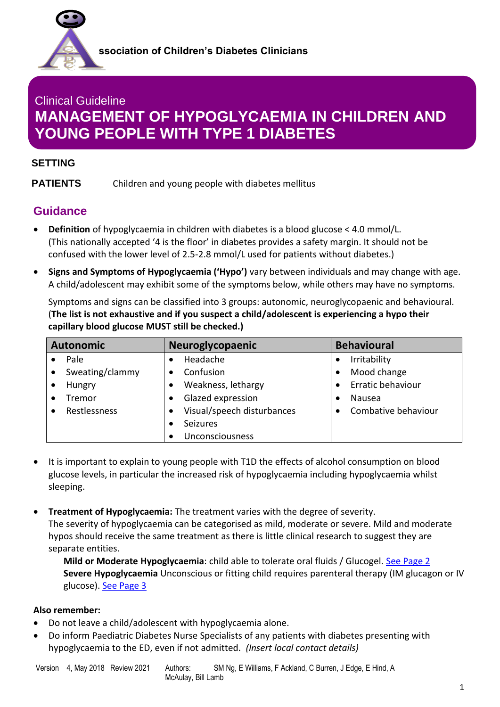

# **YOUNG PEOPLE WITH TYPE 1 DIABETES** Clinical Guideline **MANAGEMENT OF HYPOGLYCAEMIA IN CHILDREN AND**

### **SETTING**

**PATIENTS** Children and young people with diabetes mellitus

### **Guidance**

- **Definition** of hypoglycaemia in children with diabetes is a blood glucose < 4.0 mmol/L. (This nationally accepted '4 is the floor' in diabetes provides a safety margin. It should not be confused with the lower level of 2.5-2.8 mmol/L used for patients without diabetes.)
- **Signs and Symptoms of Hypoglycaemia ('Hypo')** vary between individuals and may change with age. A child/adolescent may exhibit some of the symptoms below, while others may have no symptoms.

Symptoms and signs can be classified into 3 groups: autonomic, neuroglycopaenic and behavioural. (**The list is not exhaustive and if you suspect a child/adolescent is experiencing a hypo their capillary blood glucose MUST still be checked.)**

| <b>Autonomic</b> | <b>Neuroglycopaenic</b>    | <b>Behavioural</b>        |
|------------------|----------------------------|---------------------------|
| Pale             | Headache                   | Irritability<br>$\bullet$ |
| Sweating/clammy  | Confusion                  | Mood change<br>$\bullet$  |
| Hungry           | Weakness, lethargy         | Erratic behaviour         |
| Tremor           | Glazed expression          | Nausea<br>$\bullet$       |
| Restlessness     | Visual/speech disturbances | Combative behaviour       |
|                  | <b>Seizures</b>            |                           |
|                  | Unconsciousness            |                           |

- It is important to explain to young people with T1D the effects of alcohol consumption on blood glucose levels, in particular the increased risk of hypoglycaemia including hypoglycaemia whilst sleeping.
- **Treatment of Hypoglycaemia:** The treatment varies with the degree of severity. The severity of hypoglycaemia can be categorised as mild, moderate or severe. Mild and moderate hypos should receive the same treatment as there is little clinical research to suggest they are separate entities.

**Mild or Moderate Hypoglycaemia**: child able to tolerate oral fluids / Glucogel. [See Page 2](#page-1-0) **Severe Hypoglycaemia** Unconscious or fitting child requires parenteral therapy (IM glucagon or IV glucose). See Page 3

### **Also remember:**

- Do not leave a child/adolescent with hypoglycaemia alone.
- Do inform Paediatric Diabetes Nurse Specialists of any patients with diabetes presenting with hypoglycaemia to the ED, even if not admitted. *(Insert local contact details)*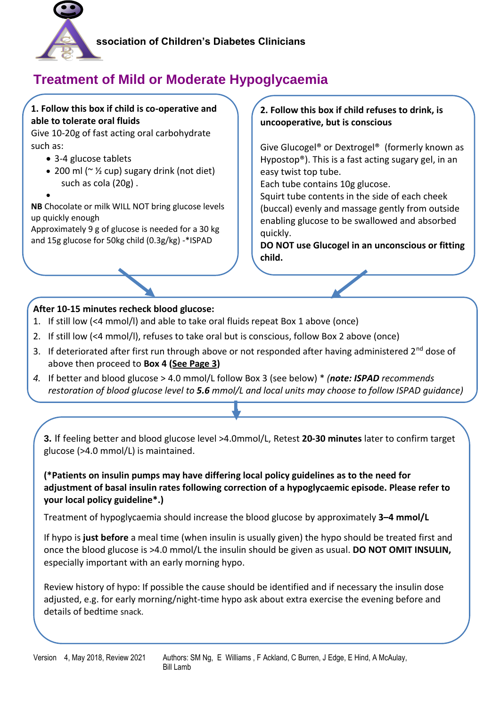

# <span id="page-1-0"></span>**Treatment of Mild or Moderate Hypoglycaemia**

### **1. Follow this box if child is co-operative and able to tolerate oral fluids**

Give 10-20g of fast acting oral carbohydrate such as:

- 3-4 glucose tablets
- 200 ml ( $\sim$  1/2 cup) sugary drink (not diet) such as cola (20g) .

• **NB** Chocolate or milk WILL NOT bring glucose levels up quickly enough

Approximately 9 g of glucose is needed for a 30 kg and 15g glucose for 50kg child (0.3g/kg) -\*ISPAD

### **2. Follow this box if child refuses to drink, is uncooperative, but is conscious**

Give Glucogel® or Dextrogel® (formerly known as Hypostop®). This is a fast acting sugary gel, in an easy twist top tube.

Each tube contains 10g glucose.

Squirt tube contents in the side of each cheek (buccal) evenly and massage gently from outside enabling glucose to be swallowed and absorbed quickly.

**DO NOT use Glucogel in an unconscious or fitting child.** 

### **After 10-15 minutes recheck blood glucose:**

- 1. If still low (<4 mmol/l) and able to take oral fluids repeat Box 1 above (once)
- 2. If still low (<4 mmol/l), refuses to take oral but is conscious, follow Box 2 above (once)
- 3. If deteriorated after first run through above or not responded after having administered  $2<sup>nd</sup>$  dose of above then proceed to **Box 4 (See Page 3)**
- *4.* If better and blood glucose > 4.0 mmol/L follow Box 3 (see below) \* *(note: ISPAD recommends restoration of blood glucose level to 5.6 mmol/L and local units may choose to follow ISPAD guidance)*

**3.** If feeling better and blood glucose level >4.0mmol/L, Retest **20-30 minutes** later to confirm target glucose (>4.0 mmol/L) is maintained.

**(\*Patients on insulin pumps may have differing local policy guidelines as to the need for adjustment of basal insulin rates following correction of a hypoglycaemic episode. Please refer to your local policy guideline\*.)**

Treatment of hypoglycaemia should increase the blood glucose by approximately **3–4 mmol/L**

If hypo is **just before** a meal time (when insulin is usually given) the hypo should be treated first and once the blood glucose is >4.0 mmol/L the insulin should be given as usual. **DO NOT OMIT INSULIN,**  especially important with an early morning hypo.

Review history of hypo: If possible the cause should be identified and if necessary the insulin dose adjusted, e.g. for early morning/night-time hypo ask about extra exercise the evening before and details of bedtime snack.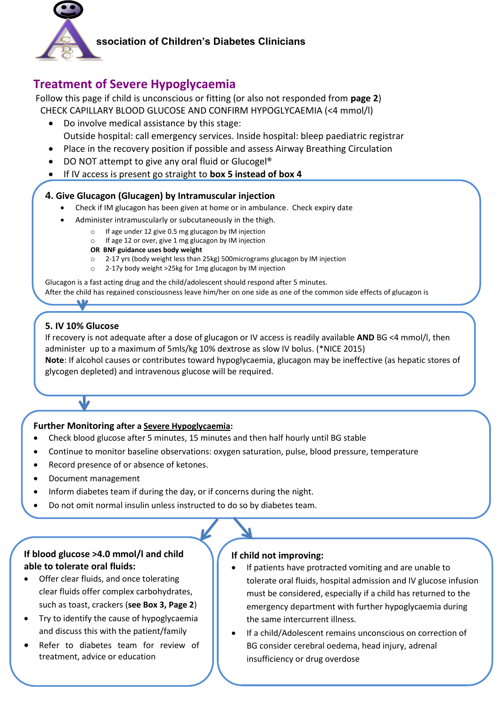

### **ssociation of Children's Diabetes Clinicians**

### **Treatment of Severe Hypoglycaemia**

Follow this page if child is unconscious or fitting (or also not responded from **page 2**) CHECK CAPILLARY BLOOD GLUCOSE AND CONFIRM HYPOGLYCAEMIA (<4 mmol/l)

- Do involve medical assistance by this stage: Outside hospital: call emergency services. Inside hospital: bleep paediatric registrar
- Place in the recovery position if possible and assess Airway Breathing Circulation
- DO NOT attempt to give any oral fluid or Glucogel<sup>®</sup>
- If IV access is present go straight to **box 5 instead of box 4**

### **4. Give Glucagon (Glucagen) by Intramuscular injection**

- Check if IM glucagon has been given at home or in ambulance. Check expiry date
	- Administer intramuscularly or subcutaneously in the thigh.
		- o If age under 12 give 0.5 mg glucagon by IM injection
		- o If age 12 or over, give 1 mg glucagon by IM injection
		- **OR BNF guidance uses body weight**
		- o 2-17 yrs (body weight less than 25kg) 500micrograms glucagon by IM injection
		- o 2-17y body weight >25kg for 1mg glucagon by IM injection

Glucagon is a fast acting drug and the child/adolescent should respond after 5 minutes. After the child has regained consciousness leave him/her on one side as one of the common side effects of glucagon is

### **5. IV 10% Glucose**

 $\overline{\phantom{a}}$ 

If recovery is not adequate after a dose of glucagon or IV access is readily available **AND** BG <4 mmol/l, then administer up to a maximum of 5mls/kg 10% dextrose as slow IV bolus. (\*NICE 2015) **Note**: If alcohol causes or contributes toward hypoglycaemia, glucagon may be ineffective (as hepatic stores of glycogen depleted) and intravenous glucose will be required.

### **Further Monitoring after a Severe Hypoglycaemia:**

- Check blood glucose after 5 minutes, 15 minutes and then half hourly until BG stable
- Continue to monitor baseline observations: oxygen saturation, pulse, blood pressure, temperature
- Record presence of or absence of ketones.
- Document management

 $\mathbf{v}$ 

- Inform diabetes team if during the day, or if concerns during the night.
- Do not omit normal insulin unless instructed to do so by diabetes team.

### **If blood glucose >4.0 mmol/l and child able to tolerate oral fluids:**

- Offer clear fluids, and once tolerating clear fluids offer complex carbohydrates, such as toast, crackers (**see Box 3, Page 2**)
- Try to identify the cause of hypoglycaemia and discuss this with the patient/family
- Refer to diabetes team for review of treatment, advice or education

#### **If child not improving:**

- If patients have protracted vomiting and are unable to tolerate oral fluids, hospital admission and IV glucose infusion must be considered, especially if a child has returned to the emergency department with further hypoglycaemia during the same intercurrent illness.
- treatment, advice or education **Exercise 1 C** Burren, Ensufficiency or drug overdose • If a child/Adolescent remains unconscious on correction of BG consider cerebral oedema, head injury, adrenal